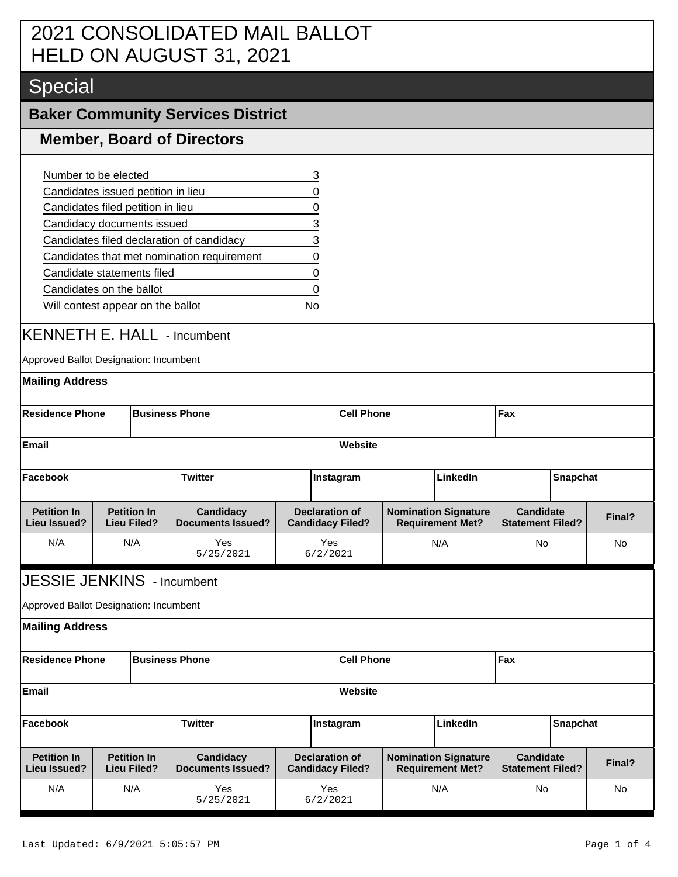## 2021 CONSOLIDATED MAIL BALLOT HELD ON AUGUST 31, 2021

# Special

### **Baker Community Services District**

#### **Member, Board of Directors**

| Number to be elected                       |   |
|--------------------------------------------|---|
| Candidates issued petition in lieu         | O |
| Candidates filed petition in lieu          | O |
| Candidacy documents issued                 | 3 |
| Candidates filed declaration of candidacy  | 3 |
| Candidates that met nomination requirement | 0 |
| Candidate statements filed                 | 0 |
| Candidates on the ballot                   | O |
| Will contest appear on the ballot          |   |

### KENNETH E. HALL - Incumbent

Approved Ballot Designation: Incumbent

| <b>Mailing Address</b>                                           |                                                                                   |                                          |                                       |                                                  |                                                        |                                                        |                 |                                             |  |        |
|------------------------------------------------------------------|-----------------------------------------------------------------------------------|------------------------------------------|---------------------------------------|--------------------------------------------------|--------------------------------------------------------|--------------------------------------------------------|-----------------|---------------------------------------------|--|--------|
| <b>Residence Phone</b><br><b>Business Phone</b>                  |                                                                                   |                                          |                                       |                                                  |                                                        | <b>Cell Phone</b>                                      |                 | Fax                                         |  |        |
| <b>Email</b>                                                     |                                                                                   |                                          |                                       |                                                  | Website                                                |                                                        |                 |                                             |  |        |
| Facebook                                                         |                                                                                   |                                          | <b>Twitter</b>                        | Instagram                                        | LinkedIn                                               |                                                        |                 | <b>Snapchat</b>                             |  |        |
| <b>Petition In</b><br><b>Lieu Issued?</b>                        | <b>Petition In</b><br>Candidacy<br><b>Documents Issued?</b><br><b>Lieu Filed?</b> |                                          |                                       | <b>Declaration of</b><br><b>Candidacy Filed?</b> | <b>Nomination Signature</b><br><b>Requirement Met?</b> |                                                        |                 | <b>Candidate</b><br><b>Statement Filed?</b> |  |        |
| N/A                                                              |                                                                                   | N/A                                      | Yes<br>5/25/2021                      |                                                  | Yes<br>6/2/2021                                        | N/A                                                    |                 | No                                          |  | No     |
| Approved Ballot Designation: Incumbent<br><b>Mailing Address</b> |                                                                                   |                                          |                                       |                                                  |                                                        |                                                        |                 |                                             |  |        |
| <b>Residence Phone</b><br><b>Business Phone</b>                  |                                                                                   |                                          |                                       |                                                  | <b>Cell Phone</b>                                      |                                                        |                 | Fax                                         |  |        |
| <b>Email</b>                                                     |                                                                                   |                                          |                                       |                                                  | <b>Website</b>                                         |                                                        |                 |                                             |  |        |
| <b>Twitter</b><br>Facebook                                       |                                                                                   |                                          |                                       | Instagram                                        | LinkedIn                                               |                                                        | <b>Snapchat</b> |                                             |  |        |
| <b>Petition In</b><br><b>Lieu Issued?</b>                        |                                                                                   | <b>Petition In</b><br><b>Lieu Filed?</b> | Candidacy<br><b>Documents Issued?</b> |                                                  | <b>Declaration of</b><br><b>Candidacy Filed?</b>       | <b>Nomination Signature</b><br><b>Requirement Met?</b> |                 | <b>Candidate</b><br><b>Statement Filed?</b> |  | Final? |
| N/A                                                              |                                                                                   | N/A                                      | Yes<br>5/25/2021                      |                                                  | Yes<br>6/2/2021                                        | N/A                                                    |                 | <b>No</b>                                   |  | No     |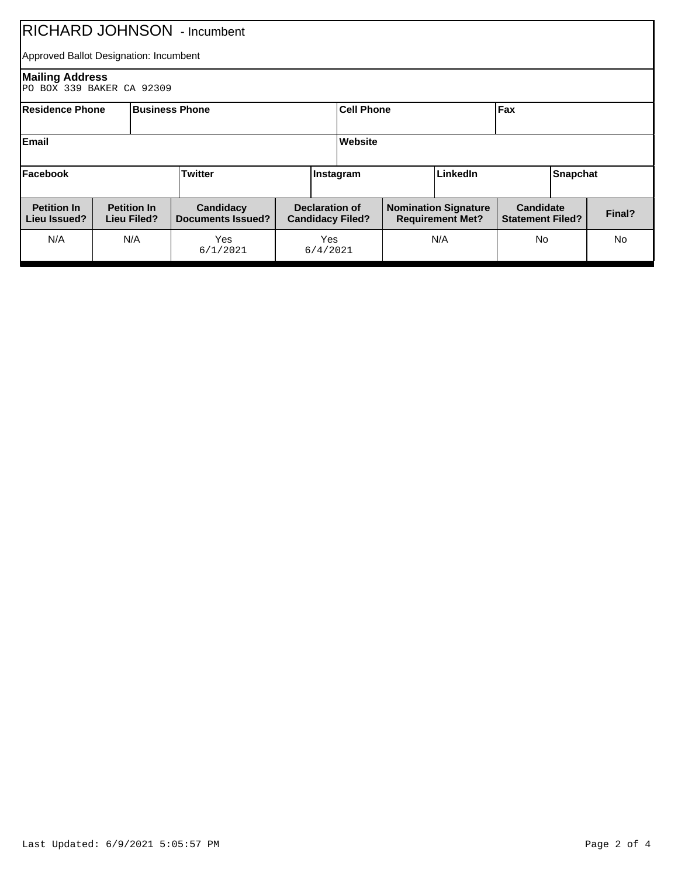| <b>RICHARD JOHNSON</b> - Incumbent                                                                                                                                   |                                                                              |     |                                                        |  |                                             |  |        |  |           |  |           |
|----------------------------------------------------------------------------------------------------------------------------------------------------------------------|------------------------------------------------------------------------------|-----|--------------------------------------------------------|--|---------------------------------------------|--|--------|--|-----------|--|-----------|
| Approved Ballot Designation: Incumbent                                                                                                                               |                                                                              |     |                                                        |  |                                             |  |        |  |           |  |           |
| <b>Mailing Address</b><br>PO BOX 339 BAKER CA 92309                                                                                                                  |                                                                              |     |                                                        |  |                                             |  |        |  |           |  |           |
|                                                                                                                                                                      | Fax<br><b>Business Phone</b><br><b>Cell Phone</b><br><b>IResidence Phone</b> |     |                                                        |  |                                             |  |        |  |           |  |           |
| Email                                                                                                                                                                | Website                                                                      |     |                                                        |  |                                             |  |        |  |           |  |           |
| Twitter<br>Facebook<br><b>LinkedIn</b><br><b>Snapchat</b><br>Instagram                                                                                               |                                                                              |     |                                                        |  |                                             |  |        |  |           |  |           |
| <b>Petition In</b><br><b>Petition In</b><br><b>Declaration of</b><br>Candidacy<br><b>Documents Issued?</b><br>Lieu Issued?<br>Lieu Filed?<br><b>Candidacy Filed?</b> |                                                                              |     | <b>Nomination Signature</b><br><b>Requirement Met?</b> |  | <b>Candidate</b><br><b>Statement Filed?</b> |  | Final? |  |           |  |           |
| N/A                                                                                                                                                                  |                                                                              | N/A | Yes<br>6/1/2021                                        |  | Yes<br>6/4/2021                             |  | N/A    |  | <b>No</b> |  | <b>No</b> |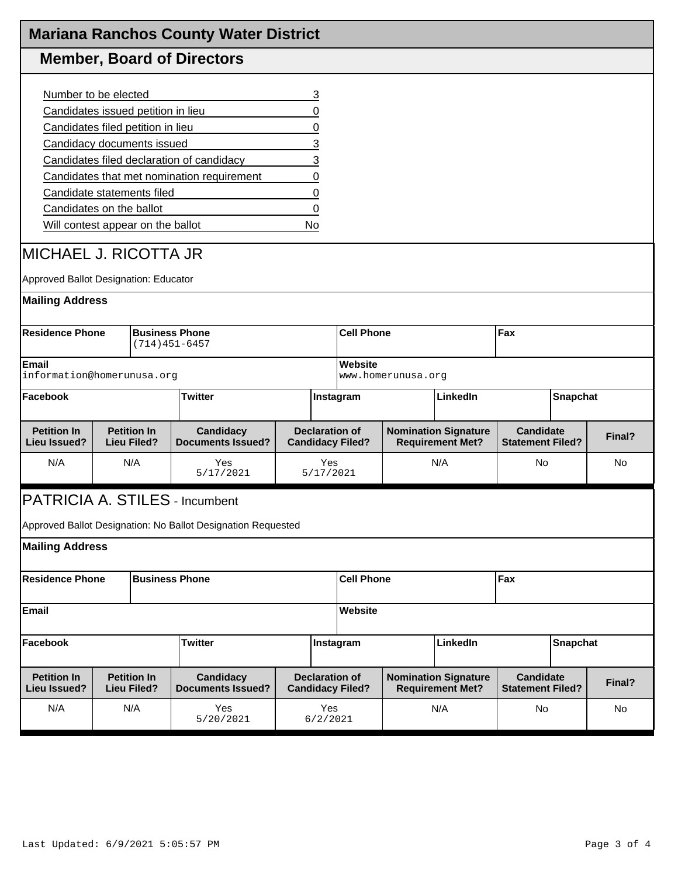|                                                                |  |                                          | <b>Mariana Ranchos County Water District</b>                 |  |                       |                                                  |                                                        |                                                        |                                             |  |        |  |
|----------------------------------------------------------------|--|------------------------------------------|--------------------------------------------------------------|--|-----------------------|--------------------------------------------------|--------------------------------------------------------|--------------------------------------------------------|---------------------------------------------|--|--------|--|
|                                                                |  |                                          | <b>Member, Board of Directors</b>                            |  |                       |                                                  |                                                        |                                                        |                                             |  |        |  |
| Number to be elected                                           |  |                                          |                                                              |  | 3                     |                                                  |                                                        |                                                        |                                             |  |        |  |
| Candidates issued petition in lieu                             |  |                                          |                                                              |  | 0                     |                                                  |                                                        |                                                        |                                             |  |        |  |
| Candidates filed petition in lieu                              |  |                                          |                                                              |  | 0                     |                                                  |                                                        |                                                        |                                             |  |        |  |
| Candidacy documents issued                                     |  |                                          |                                                              |  | 3                     |                                                  |                                                        |                                                        |                                             |  |        |  |
|                                                                |  |                                          | Candidates filed declaration of candidacy                    |  | 3                     |                                                  |                                                        |                                                        |                                             |  |        |  |
|                                                                |  |                                          | Candidates that met nomination requirement                   |  | 0                     |                                                  |                                                        |                                                        |                                             |  |        |  |
| Candidate statements filed                                     |  |                                          |                                                              |  | 0                     |                                                  |                                                        |                                                        |                                             |  |        |  |
| Candidates on the ballot                                       |  |                                          |                                                              |  | 0                     |                                                  |                                                        |                                                        |                                             |  |        |  |
| Will contest appear on the ballot                              |  |                                          |                                                              |  | No                    |                                                  |                                                        |                                                        |                                             |  |        |  |
| IMICHAEL J. RICOTTA JR                                         |  |                                          |                                                              |  |                       |                                                  |                                                        |                                                        |                                             |  |        |  |
| Approved Ballot Designation: Educator                          |  |                                          |                                                              |  |                       |                                                  |                                                        |                                                        |                                             |  |        |  |
| <b>Mailing Address</b>                                         |  |                                          |                                                              |  |                       |                                                  |                                                        |                                                        |                                             |  |        |  |
| <b>Residence Phone</b>                                         |  |                                          | <b>Business Phone</b><br>$(714)451-6457$                     |  | <b>Cell Phone</b>     |                                                  |                                                        |                                                        | Fax                                         |  |        |  |
| Email<br>information@homerunusa.org                            |  |                                          |                                                              |  |                       | Website                                          | www.homerunusa.org                                     |                                                        |                                             |  |        |  |
| Facebook                                                       |  |                                          | <b>Twitter</b>                                               |  |                       | Instagram                                        |                                                        | LinkedIn                                               | Snapchat                                    |  |        |  |
| <b>Petition In</b><br><b>Lieu Issued?</b>                      |  | <b>Petition In</b><br><b>Lieu Filed?</b> | Candidacy<br><b>Documents Issued?</b>                        |  |                       | <b>Declaration of</b><br><b>Candidacy Filed?</b> |                                                        | <b>Nomination Signature</b><br><b>Requirement Met?</b> | <b>Candidate</b><br><b>Statement Filed?</b> |  | Final? |  |
| N/A                                                            |  | N/A                                      | Yes<br>5/17/2021                                             |  | Yes<br>5/17/2021      |                                                  |                                                        | N/A                                                    | No                                          |  | No     |  |
| PATRICIA A. STILES - Incumbent                                 |  |                                          |                                                              |  |                       |                                                  |                                                        |                                                        |                                             |  |        |  |
|                                                                |  |                                          | Approved Ballot Designation: No Ballot Designation Requested |  |                       |                                                  |                                                        |                                                        |                                             |  |        |  |
| <b>Mailing Address</b>                                         |  |                                          |                                                              |  |                       |                                                  |                                                        |                                                        |                                             |  |        |  |
| <b>Residence Phone</b>                                         |  |                                          | <b>Business Phone</b>                                        |  |                       | <b>Cell Phone</b><br>Fax                         |                                                        |                                                        |                                             |  |        |  |
| Website<br><b>Email</b>                                        |  |                                          |                                                              |  |                       |                                                  |                                                        |                                                        |                                             |  |        |  |
| Facebook<br><b>Twitter</b>                                     |  |                                          |                                                              |  | LinkedIn<br>Instagram |                                                  | Snapchat                                               |                                                        |                                             |  |        |  |
| <b>Petition In</b><br><b>Lieu Issued?</b>                      |  | <b>Petition In</b><br><b>Lieu Filed?</b> | Candidacy<br><b>Documents Issued?</b>                        |  |                       | <b>Declaration of</b><br><b>Candidacy Filed?</b> | <b>Nomination Signature</b><br><b>Requirement Met?</b> |                                                        | <b>Candidate</b><br><b>Statement Filed?</b> |  | Final? |  |
| N/A<br>N/A<br>Yes<br>Yes<br>N/A<br>No<br>5/20/2021<br>6/2/2021 |  |                                          |                                                              |  |                       |                                                  | No                                                     |                                                        |                                             |  |        |  |